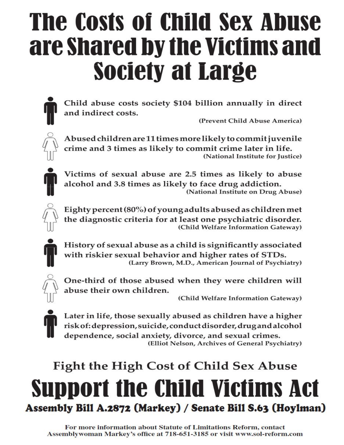# **The Costs of Child Sex Abuse** are shared by the Victims and **Society at Large**



Child abuse costs society \$104 billion annually in direct and indirect costs.

(Prevent Child Abuse America)



Abused children are 11 times more likely to commit juvenile crime and 3 times as likely to commit crime later in life. (National Institute for Justice)



Victims of sexual abuse are 2.5 times as likely to abuse alcohol and 3.8 times as likely to face drug addiction. (National Institute on Drug Abuse)



Eighty percent (80%) of young adults abused as children met the diagnostic criteria for at least one psychiatric disorder. (Child Welfare Information Gateway)



History of sexual abuse as a child is significantly associated with riskier sexual behavior and higher rates of STDs. (Larry Brown, M.D., American Journal of Psychiatry)



One-third of those abused when they were children will abuse their own children.

(Child Welfare Information Gateway)



Later in life, those sexually abused as children have a higher risk of: depression, suicide, conduct disorder, drug and alcohol dependence, social anxiety, divorce, and sexual crimes. (Elliot Nelson, Archives of General Psychiatry)

## **Fight the High Cost of Child Sex Abuse Support the Child Victims A** Assembly Bill A.2872 (Markey) / Senate Bill S.63 (Hoylman)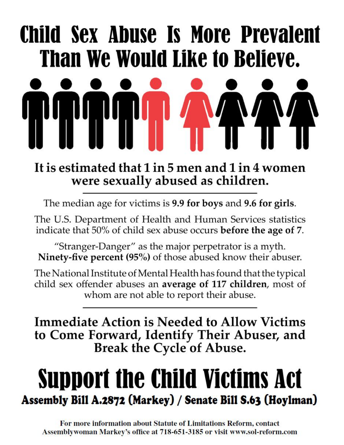# Child Sex Abuse Is More Prevalent Than We Would Like to Believe.

## It is estimated that 1 in 5 men and 1 in 4 women were sexually abused as children.

The median age for victims is 9.9 for boys and 9.6 for girls.

The U.S. Department of Health and Human Services statistics indicate that 50% of child sex abuse occurs before the age of 7.

"Stranger-Danger" as the major perpetrator is a myth. Ninety-five percent (95%) of those abused know their abuser.

The National Institute of Mental Health has found that the typical child sex offender abuses an average of 117 children, most of whom are not able to report their abuse.

**Immediate Action is Needed to Allow Victims** to Come Forward, Identify Their Abuser, and **Break the Cycle of Abuse.** 

## **Support the Child Victims Act** Assembly Bill A.2872 (Markey) / Senate Bill S.63 (Hoylman)

For more information about Statute of Limitations Reform, contact Assemblywoman Markey's office at 718-651-3185 or visit www.sol-reform.com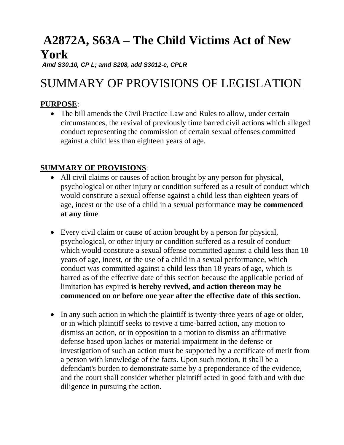### **A2872A, S63A – The Child Victims Act of New York**

*Amd S30.10, CP L; amd S208, add S3012-c, CPLR*

### SUMMARY OF PROVISIONS OF LEGISLATION

#### **PURPOSE**:

• The bill amends the Civil Practice Law and Rules to allow, under certain circumstances, the revival of previously time barred civil actions which alleged conduct representing the commission of certain sexual offenses committed against a child less than eighteen years of age.

#### **SUMMARY OF PROVISIONS**:

- All civil claims or causes of action brought by any person for physical, psychological or other injury or condition suffered as a result of conduct which would constitute a sexual offense against a child less than eighteen years of age, incest or the use of a child in a sexual performance **may be commenced at any time**.
- Every civil claim or cause of action brought by a person for physical, psychological, or other injury or condition suffered as a result of conduct which would constitute a sexual offense committed against a child less than 18 years of age, incest, or the use of a child in a sexual performance, which conduct was committed against a child less than 18 years of age, which is barred as of the effective date of this section because the applicable period of limitation has expired **is hereby revived, and action thereon may be commenced on or before one year after the effective date of this section.**
- In any such action in which the plaintiff is twenty-three years of age or older, or in which plaintiff seeks to revive a time-barred action, any motion to dismiss an action, or in opposition to a motion to dismiss an affirmative defense based upon laches or material impairment in the defense or investigation of such an action must be supported by a certificate of merit from a person with knowledge of the facts. Upon such motion, it shall be a defendant's burden to demonstrate same by a preponderance of the evidence, and the court shall consider whether plaintiff acted in good faith and with due diligence in pursuing the action.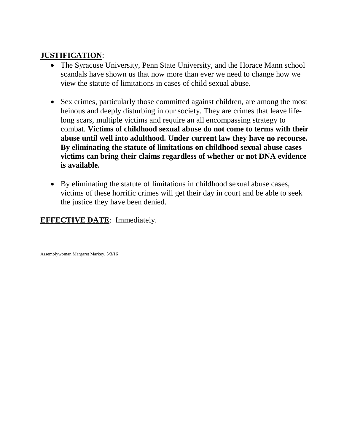#### **JUSTIFICATION**:

- The Syracuse University, Penn State University, and the Horace Mann school scandals have shown us that now more than ever we need to change how we view the statute of limitations in cases of child sexual abuse.
- Sex crimes, particularly those committed against children, are among the most heinous and deeply disturbing in our society. They are crimes that leave lifelong scars, multiple victims and require an all encompassing strategy to combat. **Victims of childhood sexual abuse do not come to terms with their abuse until well into adulthood. Under current law they have no recourse. By eliminating the statute of limitations on childhood sexual abuse cases victims can bring their claims regardless of whether or not DNA evidence is available.**
- By eliminating the statute of limitations in childhood sexual abuse cases, victims of these horrific crimes will get their day in court and be able to seek the justice they have been denied.

#### **EFFECTIVE DATE:** Immediately.

Assemblywoman Margaret Markey, 5/3/16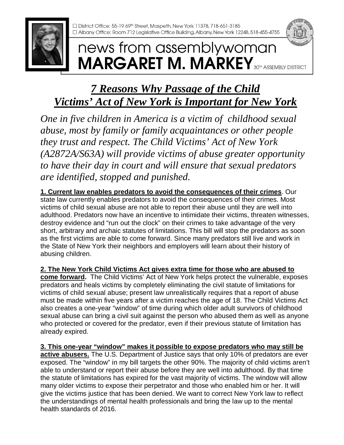## news from assemblywoman **MARGARET M. MARKEY** 30TH ASSEMBLY DISTRICT

### *7 Reasons Why Passage of the Child Victims' Act of New York is Important for New York*

*One in five children in America is a victim of childhood sexual abuse, most by family or family acquaintances or other people they trust and respect. The Child Victims' Act of New York (A2872A/S63A) will provide victims of abuse greater opportunity to have their day in court and will ensure that sexual predators are identified, stopped and punished.*

**1. Current law enables predators to avoid the consequences of their crimes**. Our state law currently enables predators to avoid the consequences of their crimes. Most victims of child sexual abuse are not able to report their abuse until they are well into adulthood. Predators now have an incentive to intimidate their victims, threaten witnesses, destroy evidence and "run out the clock" on their crimes to take advantage of the very short, arbitrary and archaic statutes of limitations. This bill will stop the predators as soon as the first victims are able to come forward. Since many predators still live and work in the State of New York their neighbors and employers will learn about their history of abusing children.

**2. The New York Child Victims Act gives extra time for those who are abused to come forward.** The Child Victims' Act of New York helps protect the vulnerable, exposes predators and heals victims by completely eliminating the civil statute of limitations for victims of child sexual abuse; present law unrealistically requires that a report of abuse must be made within five years after a victim reaches the age of 18. The Child Victims Act also creates a one-year "window" of time during which older adult survivors of childhood sexual abuse can bring a civil suit against the person who abused them as well as anyone who protected or covered for the predator, even if their previous statute of limitation has already expired.

**3. This one-year "window" makes it possible to expose predators who may still be active abusers.** The U.S. Department of Justice says that only 10% of predators are ever exposed. The "window" in my bill targets the other 90%. The majority of child victims aren't able to understand or report their abuse before they are well into adulthood. By that time the statute of limitations has expired for the vast majority of victims. The window will allow many older victims to expose their perpetrator and those who enabled him or her. It will give the victims justice that has been denied. We want to correct New York law to reflect the understandings of mental health professionals and bring the law up to the mental health standards of 2016.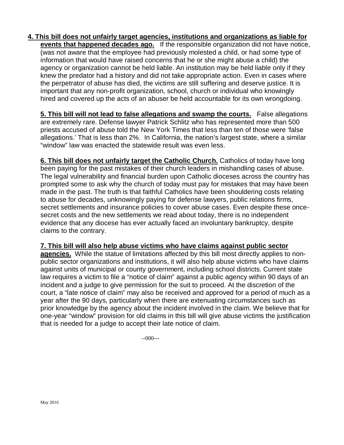#### **4. This bill does not unfairly target agencies, institutions and organizations as liable for**

**events that happened decades ago.** If the responsible organization did not have notice, (was not aware that the employee had previously molested a child, or had some type of information that would have raised concerns that he or she might abuse a child) the agency or organization cannot be held liable. An institution may be held liable only if they knew the predator had a history and did not take appropriate action. Even in cases where the perpetrator of abuse has died, the victims are still suffering and deserve justice. It is important that any non-profit organization, school, church or individual who knowingly hired and covered up the acts of an abuser be held accountable for its own wrongdoing.

**5. This bill will not lead to false allegations and swamp the courts.** False allegations are extremely rare. Defense lawyer Patrick Schlitz who has represented more than 500 priests accused of abuse told the New York Times that less than ten of those were 'false allegations.' That is less than 2%. In California, the nation's largest state, where a similar "window" law was enacted the statewide result was even less.

**6. This bill does not unfairly target the Catholic Church.** Catholics of today have long been paying for the past mistakes of their church leaders in mishandling cases of abuse. The legal vulnerability and financial burden upon Catholic dioceses across the country has prompted some to ask why the church of today must pay for mistakes that may have been made in the past. The truth is that faithful Catholics have been shouldering costs relating to abuse for decades, unknowingly paying for defense lawyers, public relations firms, secret settlements and insurance policies to cover abuse cases. Even despite these oncesecret costs and the new settlements we read about today, there is no independent evidence that any diocese has ever actually faced an involuntary bankruptcy, despite claims to the contrary.

#### **7. This bill will also help abuse victims who have claims against public sector**

**agencies.** While the statue of limitations affected by this bill most directly applies to nonpublic sector organizations and institutions, it will also help abuse victims who have claims against units of municipal or county government, including school districts. Current state law requires a victim to file a "notice of claim" against a public agency within 90 days of an incident and a judge to give permission for the suit to proceed. At the discretion of the court, a "late notice of claim" may also be received and approved for a period of much as a year after the 90 days, particularly when there are extenuating circumstances such as prior knowledge by the agency about the incident involved in the claim. We believe that for one-year "window" provision for old claims in this bill will give abuse victims the justification that is needed for a judge to accept their late notice of claim.

--000---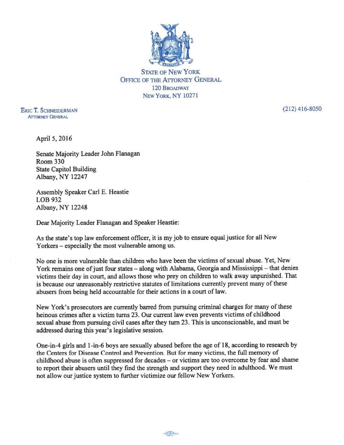

**STATE OF NEW YORK OFFICE OF THE ATTORNEY GENERAL 120 BROADWAY** NEW YORK, NY 10271

**ERIC T. SCHNEIDERMAN ATTORNEY GENERAL** 

 $(212)$  416-8050

April 5, 2016

Senate Majority Leader John Flanagan **Room 330 State Capitol Building** Albany, NY 12247

Assembly Speaker Carl E. Heastie LOB 932 Albany, NY 12248

Dear Majority Leader Flanagan and Speaker Heastie:

As the state's top law enforcement officer, it is my job to ensure equal justice for all New Yorkers – especially the most vulnerable among us.

No one is more vulnerable than children who have been the victims of sexual abuse. Yet, New York remains one of just four states - along with Alabama, Georgia and Mississippi - that denies victims their day in court, and allows those who prey on children to walk away unpunished. That is because our unreasonably restrictive statutes of limitations currently prevent many of these abusers from being held accountable for their actions in a court of law.

New York's prosecutors are currently barred from pursuing criminal charges for many of these heinous crimes after a victim turns 23. Our current law even prevents victims of childhood sexual abuse from pursuing civil cases after they turn 23. This is unconscionable, and must be addressed during this year's legislative session.

One-in-4 girls and 1-in-6 boys are sexually abused before the age of 18, according to research by the Centers for Disease Control and Prevention. But for many victims, the full memory of childhood abuse is often suppressed for decades – or victims are too overcome by fear and shame to report their abusers until they find the strength and support they need in adulthood. We must not allow our justice system to further victimize our fellow New Yorkers.

 $\frac{1}{2} \frac{1}{\sqrt{2}} \frac{1}{\sqrt{2}} \frac{1}{\sqrt{2}} \frac{1}{\sqrt{2}} \frac{1}{\sqrt{2}} \frac{1}{\sqrt{2}} \frac{1}{\sqrt{2}} \frac{1}{\sqrt{2}} \frac{1}{\sqrt{2}} \frac{1}{\sqrt{2}} \frac{1}{\sqrt{2}} \frac{1}{\sqrt{2}} \frac{1}{\sqrt{2}} \frac{1}{\sqrt{2}} \frac{1}{\sqrt{2}} \frac{1}{\sqrt{2}} \frac{1}{\sqrt{2}} \frac{1}{\sqrt{2}} \frac{1}{\sqrt{2}} \frac{1}{\sqrt{2}} \frac{1}{\sqrt{2}} \frac{$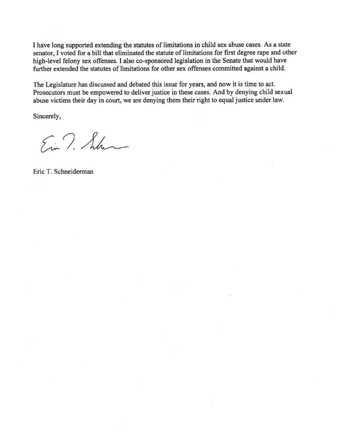I have long supported extending the statutes of limitations in child sex abuse cases. As a state senator, I voted for a bill that eliminated the statute of limitations for first degree rape and other high-level felony sex offenses. I also co-sponsored legislation in the Senate that would have further extended the statutes of limitations for other sex offenses committed against a child.

The Legislature has discussed and debated this issue for years, and now it is time to act. Prosecutors must be empowered to deliver justice in these cases. And by denying child sexual abuse victims their day in court, we are denying them their right to equal justice under law.

Sincerely,

Ein T. Schen

Eric T. Schneiderman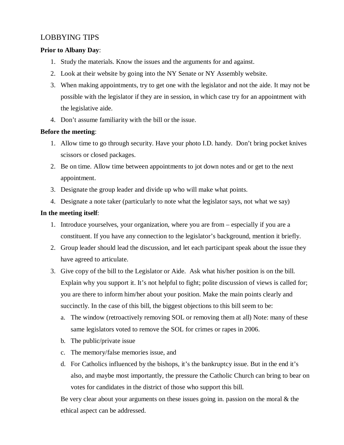#### LOBBYING TIPS

#### **Prior to Albany Day**:

- 1. Study the materials. Know the issues and the arguments for and against.
- 2. Look at their website by going into the NY Senate or NY Assembly website.
- 3. When making appointments, try to get one with the legislator and not the aide. It may not be possible with the legislator if they are in session, in which case try for an appointment with the legislative aide.
- 4. Don't assume familiarity with the bill or the issue.

#### **Before the meeting**:

- 1. Allow time to go through security. Have your photo I.D. handy. Don't bring pocket knives scissors or closed packages.
- 2. Be on time. Allow time between appointments to jot down notes and or get to the next appointment.
- 3. Designate the group leader and divide up who will make what points.
- 4. Designate a note taker (particularly to note what the legislator says, not what we say)

#### **In the meeting itself**:

- 1. Introduce yourselves, your organization, where you are from especially if you are a constituent. If you have any connection to the legislator's background, mention it briefly.
- 2. Group leader should lead the discussion, and let each participant speak about the issue they have agreed to articulate.
- 3. Give copy of the bill to the Legislator or Aide. Ask what his/her position is on the bill. Explain why you support it. It's not helpful to fight; polite discussion of views is called for; you are there to inform him/her about your position. Make the main points clearly and succinctly. In the case of this bill, the biggest objections to this bill seem to be:
	- a. The window (retroactively removing SOL or removing them at all) Note: many of these same legislators voted to remove the SOL for crimes or rapes in 2006.
	- b. The public/private issue
	- c. The memory/false memories issue, and
	- d. For Catholics influenced by the bishops, it's the bankruptcy issue. But in the end it's also, and maybe most importantly, the pressure the Catholic Church can bring to bear on votes for candidates in the district of those who support this bill.

Be very clear about your arguments on these issues going in. passion on the moral  $\&$  the ethical aspect can be addressed.